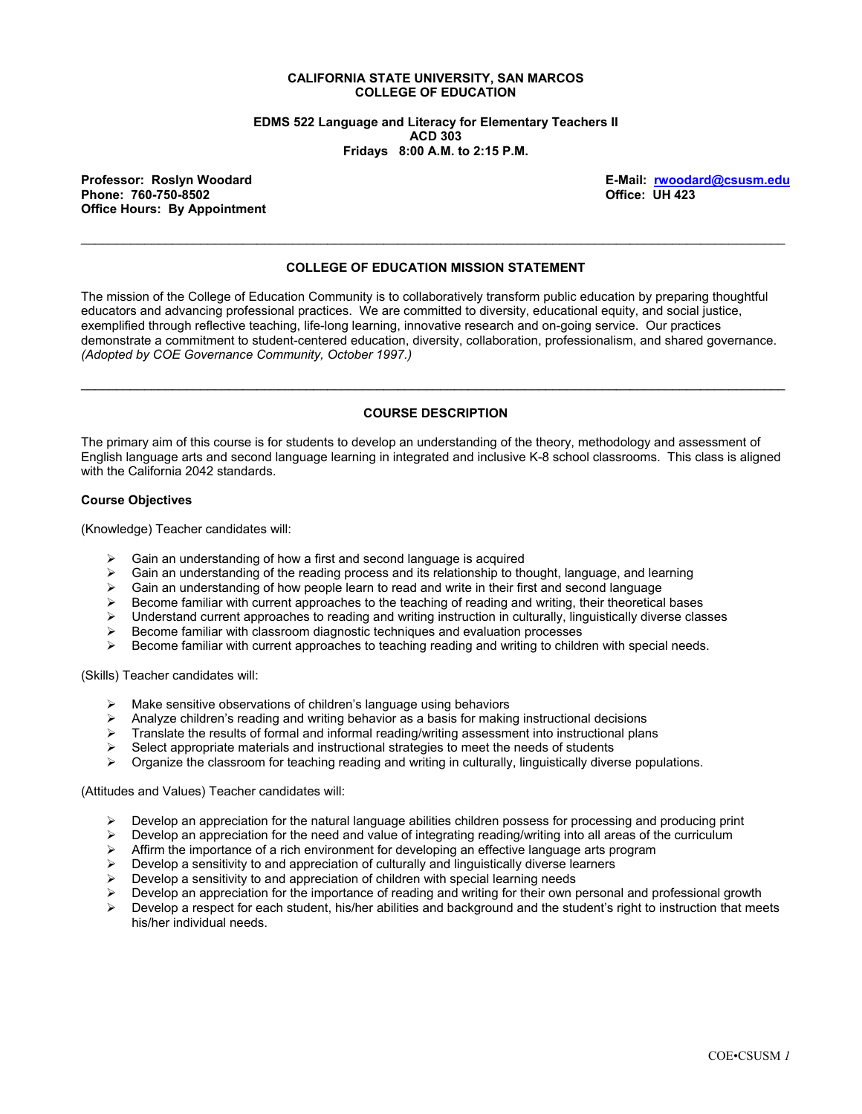#### **CALIFORNIA STATE UNIVERSITY, SAN MARCOS COLLEGE OF EDUCATION**

**EDMS 522 Language and Literacy for Elementary Teachers II ACD 303 Fridays 8:00 A.M. to 2:15 P.M.** 

Phone: 760-750-8502 **Office Hours: By Appointment** 

**Professor: Roslyn Woodard E-Mail: rwoodard@csusm.edu**

### **COLLEGE OF EDUCATION MISSION STATEMENT**

\_\_\_\_\_\_\_\_\_\_\_\_\_\_\_\_\_\_\_\_\_\_\_\_\_\_\_\_\_\_\_\_\_\_\_\_\_\_\_\_\_\_\_\_\_\_\_\_\_\_\_\_\_\_\_\_\_\_\_\_\_\_\_\_\_\_\_\_\_\_\_\_\_\_\_\_\_\_\_\_\_\_\_\_\_\_\_\_\_\_\_\_\_\_\_\_\_\_\_\_

The mission of the College of Education Community is to collaboratively transform public education by preparing thoughtful educators and advancing professional practices. We are committed to diversity, educational equity, and social justice, exemplified through reflective teaching, life-long learning, innovative research and on-going service. Our practices demonstrate a commitment to student-centered education, diversity, collaboration, professionalism, and shared governance. *(Adopted by COE Governance Community, October 1997.)* 

#### **COURSE DESCRIPTION**

\_\_\_\_\_\_\_\_\_\_\_\_\_\_\_\_\_\_\_\_\_\_\_\_\_\_\_\_\_\_\_\_\_\_\_\_\_\_\_\_\_\_\_\_\_\_\_\_\_\_\_\_\_\_\_\_\_\_\_\_\_\_\_\_\_\_\_\_\_\_\_\_\_\_\_\_\_\_\_\_\_\_\_\_\_\_\_\_\_\_\_\_\_\_\_\_\_\_\_\_

The primary aim of this course is for students to develop an understanding of the theory, methodology and assessment of English language arts and second language learning in integrated and inclusive K-8 school classrooms. This class is aligned with the California 2042 standards.

#### **Course Objectives**

(Knowledge) Teacher candidates will:

- 
- ightharpoonup Gain an understanding of how a first and second language is acquired  $\triangleright$  Gain an understanding of the reading process and its relationship to the ightary Gain an understanding of the reading process and its relationship to thought, language, and learning  $\geq$  Gain an understanding of how people learn to read and write in their first and second language
- Gain an understanding of how people learn to read and write in their first and second language
- $\triangleright$  Become familiar with current approaches to the teaching of reading and writing, their theoretical bases
- $\triangleright$  Understand current approaches to reading and writing instruction in culturally, linguistically diverse classes
- $\triangleright$  Become familiar with classroom diagnostic techniques and evaluation processes
- $\triangleright$  Become familiar with current approaches to teaching reading and writing to children with special needs.

(Skills) Teacher candidates will:

- Make sensitive observations of children's language using behaviors
- $\triangleright$  Analyze children's reading and writing behavior as a basis for making instructional decisions
- $\triangleright$  Translate the results of formal and informal reading/writing assessment into instructional plans
- $\triangleright$  Select appropriate materials and instructional strategies to meet the needs of students
- $\triangleright$  Organize the classroom for teaching reading and writing in culturally, linguistically diverse populations.

(Attitudes and Values) Teacher candidates will:

- $\triangleright$  Develop an appreciation for the natural language abilities children possess for processing and producing print
- $\triangleright$  Develop an appreciation for the need and value of integrating reading/writing into all areas of the curriculum
- $\triangleright$  Affirm the importance of a rich environment for developing an effective language arts program
- $\triangleright$  Develop a sensitivity to and appreciation of culturally and linguistically diverse learners
- $\triangleright$  Develop a sensitivity to and appreciation of children with special learning needs
- $\triangleright$  Develop an appreciation for the importance of reading and writing for their own personal and professional growth  $\triangleright$  Develop a respect for each student, his/her abilities and background and the student's right t
- Develop a respect for each student, his/her abilities and background and the student's right to instruction that meets his/her individual needs.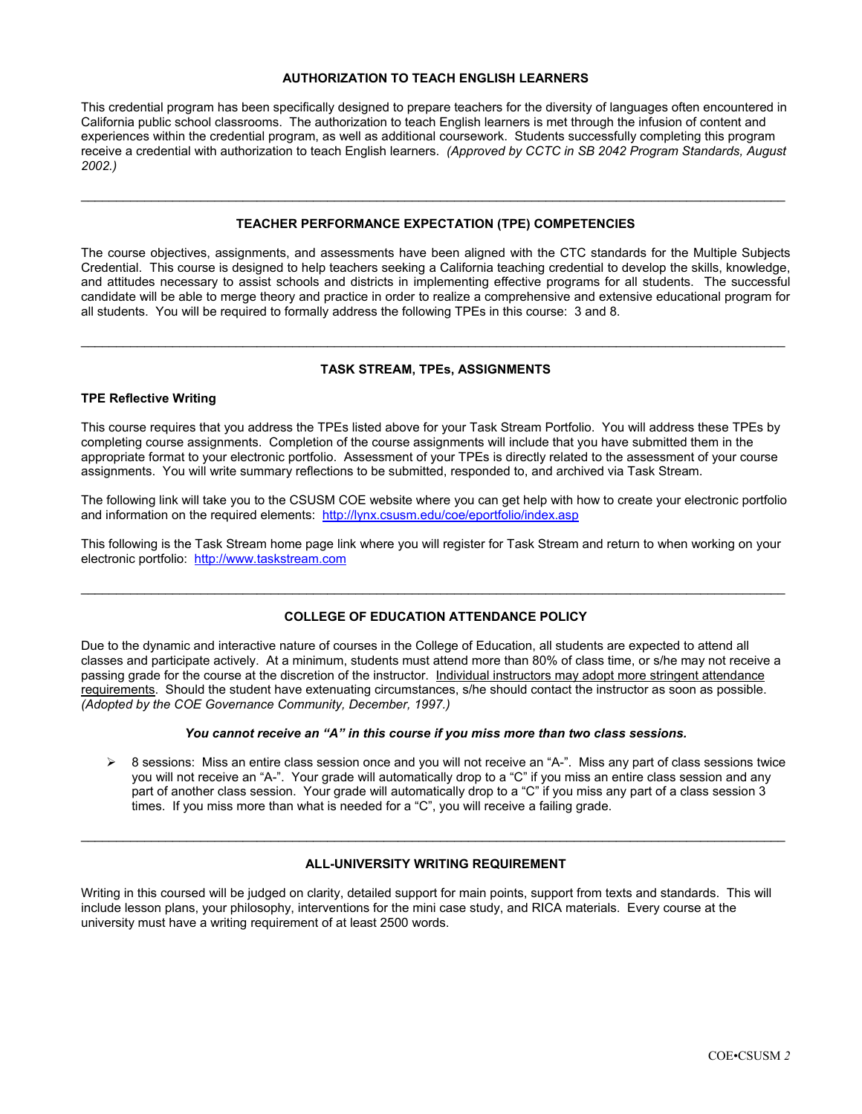### **AUTHORIZATION TO TEACH ENGLISH LEARNERS**

This credential program has been specifically designed to prepare teachers for the diversity of languages often encountered in California public school classrooms. The authorization to teach English learners is met through the infusion of content and experiences within the credential program, as well as additional coursework. Students successfully completing this program receive a credential with authorization to teach English learners. *(Approved by CCTC in SB 2042 Program Standards, August 2002.)*

#### **TEACHER PERFORMANCE EXPECTATION (TPE) COMPETENCIES**

\_\_\_\_\_\_\_\_\_\_\_\_\_\_\_\_\_\_\_\_\_\_\_\_\_\_\_\_\_\_\_\_\_\_\_\_\_\_\_\_\_\_\_\_\_\_\_\_\_\_\_\_\_\_\_\_\_\_\_\_\_\_\_\_\_\_\_\_\_\_\_\_\_\_\_\_\_\_\_\_\_\_\_\_\_\_\_\_\_\_\_\_\_\_\_\_\_\_\_\_

The course objectives, assignments, and assessments have been aligned with the CTC standards for the Multiple Subjects Credential. This course is designed to help teachers seeking a California teaching credential to develop the skills, knowledge, and attitudes necessary to assist schools and districts in implementing effective programs for all students. The successful candidate will be able to merge theory and practice in order to realize a comprehensive and extensive educational program for all students. You will be required to formally address the following TPEs in this course: 3 and 8.

# \_\_\_\_\_\_\_\_\_\_\_\_\_\_\_\_\_\_\_\_\_\_\_\_\_\_\_\_\_\_\_\_\_\_\_\_\_\_\_\_\_\_\_\_\_\_\_\_\_\_\_\_\_\_\_\_\_\_\_\_\_\_\_\_\_\_\_\_\_\_\_\_\_\_\_\_\_\_\_\_\_\_\_\_\_\_\_\_\_\_\_\_\_\_\_\_\_\_\_\_ **TASK STREAM, TPEs, ASSIGNMENTS**

#### **TPE Reflective Writing**

This course requires that you address the TPEs listed above for your Task Stream Portfolio. You will address these TPEs by completing course assignments. Completion of the course assignments will include that you have submitted them in the appropriate format to your electronic portfolio. Assessment of your TPEs is directly related to the assessment of your course assignments. You will write summary reflections to be submitted, responded to, and archived via Task Stream.

The following link will take you to the CSUSM COE website where you can get help with how to create your electronic portfolio and information on the required elements: http://lynx.csusm.edu/coe/eportfolio/index.asp

This following is the Task Stream home page link where you will register for Task Stream and return to when working on your electronic portfolio: http://www.taskstream.com

#### **COLLEGE OF EDUCATION ATTENDANCE POLICY**

\_\_\_\_\_\_\_\_\_\_\_\_\_\_\_\_\_\_\_\_\_\_\_\_\_\_\_\_\_\_\_\_\_\_\_\_\_\_\_\_\_\_\_\_\_\_\_\_\_\_\_\_\_\_\_\_\_\_\_\_\_\_\_\_\_\_\_\_\_\_\_\_\_\_\_\_\_\_\_\_\_\_\_\_\_\_\_\_\_\_\_\_\_\_\_\_\_\_\_\_

Due to the dynamic and interactive nature of courses in the College of Education, all students are expected to attend all classes and participate actively. At a minimum, students must attend more than 80% of class time, or s/he may not receive a passing grade for the course at the discretion of the instructor. Individual instructors may adopt more stringent attendance requirements. Should the student have extenuating circumstances, s/he should contact the instructor as soon as possible. *(Adopted by the COE Governance Community, December, 1997.)*

#### *You cannot receive an "A" in this course if you miss more than two class sessions.*

 $\triangleright$  8 sessions: Miss an entire class session once and you will not receive an "A-". Miss any part of class sessions twice you will not receive an "A-". Your grade will automatically drop to a "C" if you miss an entire class session and any part of another class session. Your grade will automatically drop to a "C" if you miss any part of a class session 3 times. If you miss more than what is needed for a "C", you will receive a failing grade.

# \_\_\_\_\_\_\_\_\_\_\_\_\_\_\_\_\_\_\_\_\_\_\_\_\_\_\_\_\_\_\_\_\_\_\_\_\_\_\_\_\_\_\_\_\_\_\_\_\_\_\_\_\_\_\_\_\_\_\_\_\_\_\_\_\_\_\_\_\_\_\_\_\_\_\_\_\_\_\_\_\_\_\_\_\_\_\_\_\_\_\_\_\_\_\_\_\_\_\_\_ **ALL-UNIVERSITY WRITING REQUIREMENT**

Writing in this coursed will be judged on clarity, detailed support for main points, support from texts and standards. This will include lesson plans, your philosophy, interventions for the mini case study, and RICA materials. Every course at the university must have a writing requirement of at least 2500 words.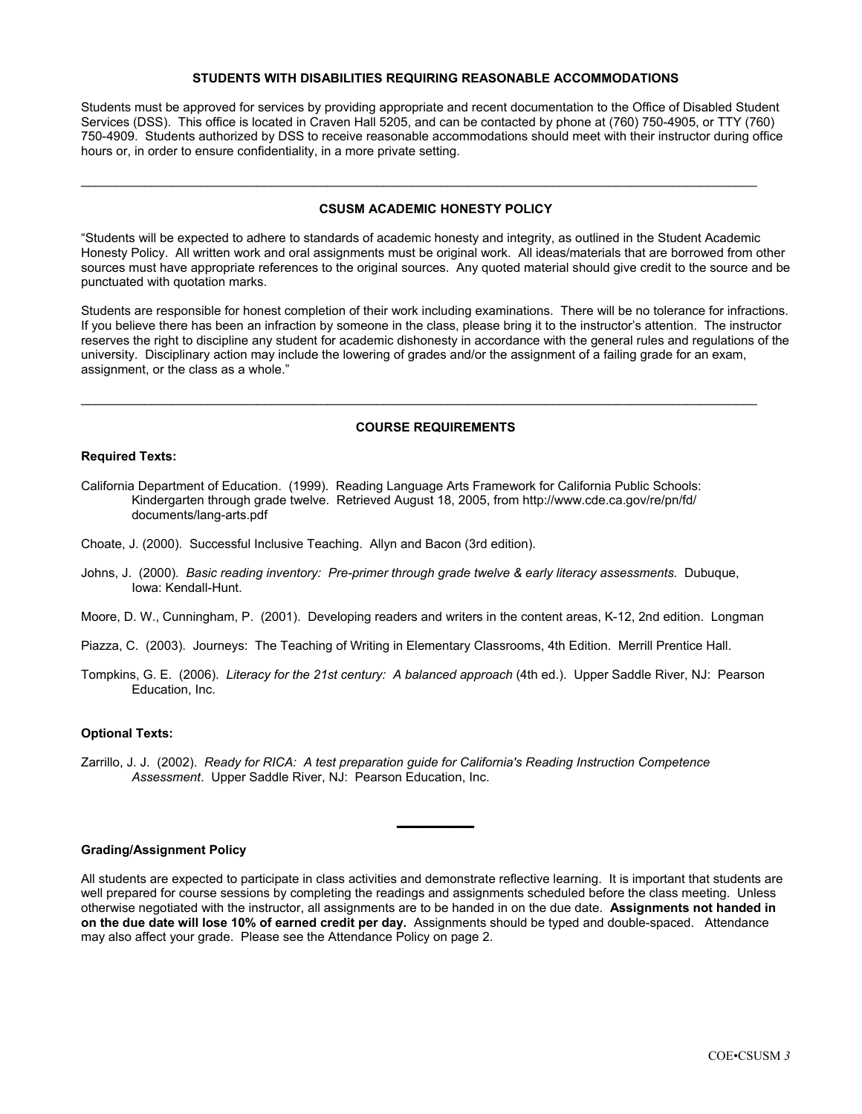#### **STUDENTS WITH DISABILITIES REQUIRING REASONABLE ACCOMMODATIONS**

Students must be approved for services by providing appropriate and recent documentation to the Office of Disabled Student Services (DSS). This office is located in Craven Hall 5205, and can be contacted by phone at (760) 750-4905, or TTY (760) 750-4909. Students authorized by DSS to receive reasonable accommodations should meet with their instructor during office hours or, in order to ensure confidentiality, in a more private setting.

### **CSUSM ACADEMIC HONESTY POLICY**

\_\_\_\_\_\_\_\_\_\_\_\_\_\_\_\_\_\_\_\_\_\_\_\_\_\_\_\_\_\_\_\_\_\_\_\_\_\_\_\_\_\_\_\_\_\_\_\_\_\_\_\_\_\_\_\_\_\_\_\_\_\_\_\_\_\_\_\_\_\_\_\_\_\_\_\_\_\_\_\_\_\_\_\_\_\_\_\_\_\_\_\_\_\_\_\_

"Students will be expected to adhere to standards of academic honesty and integrity, as outlined in the Student Academic Honesty Policy. All written work and oral assignments must be original work. All ideas/materials that are borrowed from other sources must have appropriate references to the original sources. Any quoted material should give credit to the source and be punctuated with quotation marks.

Students are responsible for honest completion of their work including examinations. There will be no tolerance for infractions. If you believe there has been an infraction by someone in the class, please bring it to the instructor's attention. The instructor reserves the right to discipline any student for academic dishonesty in accordance with the general rules and regulations of the university. Disciplinary action may include the lowering of grades and/or the assignment of a failing grade for an exam, assignment, or the class as a whole."

#### **COURSE REQUIREMENTS**

\_\_\_\_\_\_\_\_\_\_\_\_\_\_\_\_\_\_\_\_\_\_\_\_\_\_\_\_\_\_\_\_\_\_\_\_\_\_\_\_\_\_\_\_\_\_\_\_\_\_\_\_\_\_\_\_\_\_\_\_\_\_\_\_\_\_\_\_\_\_\_\_\_\_\_\_\_\_\_\_\_\_\_\_\_\_\_\_\_\_\_\_\_\_\_\_

#### **Required Texts:**

- California Department of Education. (1999). Reading Language Arts Framework for California Public Schools: Kindergarten through grade twelve. Retrieved August 18, 2005, from http://www.cde.ca.gov/re/pn/fd/ documents/lang-arts.pdf
- Choate, J. (2000). Successful Inclusive Teaching. Allyn and Bacon (3rd edition).
- Johns, J. (2000). *Basic reading inventory: Pre-primer through grade twelve & early literacy assessments.* Dubuque, Iowa: Kendall-Hunt.
- Moore, D. W., Cunningham, P. (2001). Developing readers and writers in the content areas, K-12, 2nd edition. Longman
- Piazza, C. (2003). Journeys: The Teaching of Writing in Elementary Classrooms, 4th Edition. Merrill Prentice Hall.
- Tompkins, G. E. (2006). *Literacy for the 21st century: A balanced approach* (4th ed.). Upper Saddle River, NJ: Pearson Education, Inc.

#### **Optional Texts:**

Zarrillo, J. J. (2002). *Ready for RICA: A test preparation guide for California's Reading Instruction Competence Assessment*. Upper Saddle River, NJ: Pearson Education, Inc.

#### **Grading/Assignment Policy**

All students are expected to participate in class activities and demonstrate reflective learning. It is important that students are well prepared for course sessions by completing the readings and assignments scheduled before the class meeting. Unless otherwise negotiated with the instructor, all assignments are to be handed in on the due date. **Assignments not handed in on the due date will lose 10% of earned credit per day.** Assignments should be typed and double-spaced. Attendance may also affect your grade. Please see the Attendance Policy on page 2.

**\_\_\_\_\_\_\_\_\_\_\_**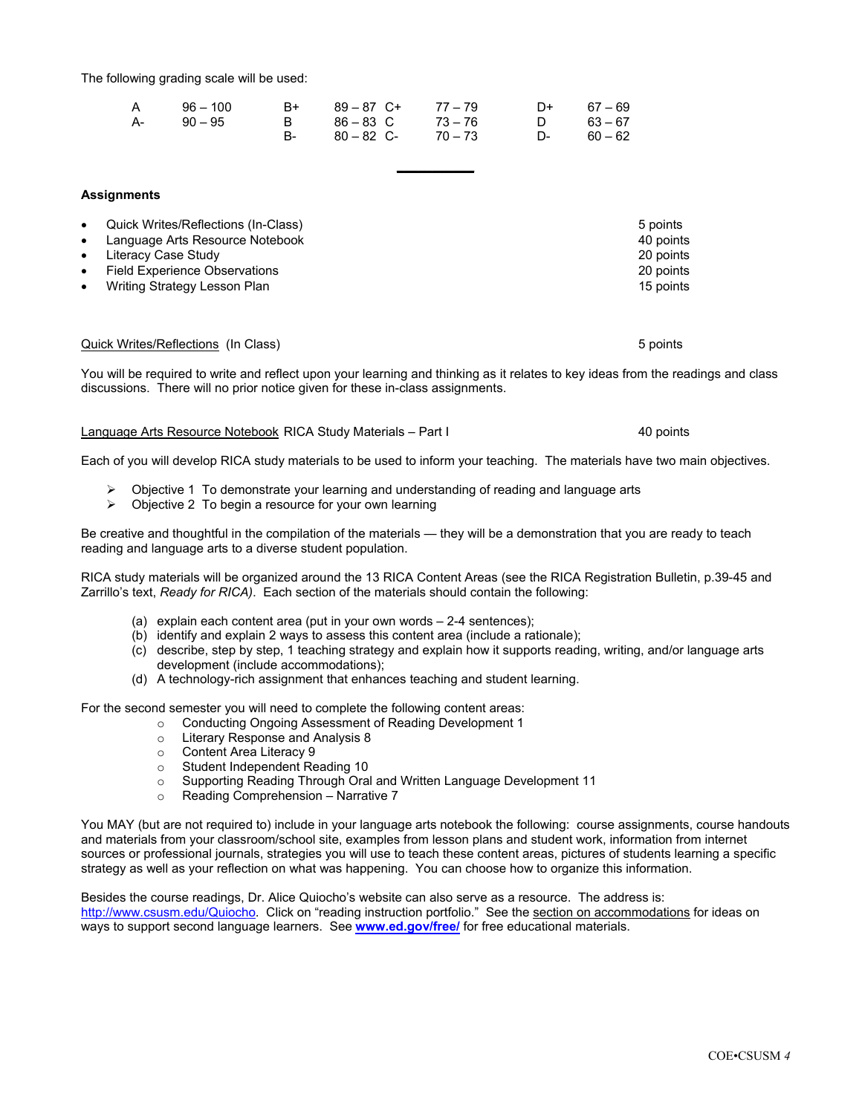The following grading scale will be used:

| A 96 – 100 | B+ 89-87 C+ 77-79 |  | $D+ 67-69$ |
|------------|-------------------|--|------------|
| A- 90 – 95 | B 86-83 C 73-76   |  | D 63-67    |
|            | B- 80-82 C- 70-73 |  | $D-60-62$  |

#### **Assignments**

| $\bullet$ | Quick Writes/Reflections (In-Class) | 5 points  |
|-----------|-------------------------------------|-----------|
| $\bullet$ | Language Arts Resource Notebook     | 40 points |
| $\bullet$ | Literacy Case Study                 | 20 points |
| $\bullet$ | Field Experience Observations       | 20 points |
| $\bullet$ | Writing Strategy Lesson Plan        | 15 points |

#### Quick Writes/Reflections (In Class) 5 points 5 points 5 points 5 points 5 points 5 points 5 points 5 points 5 points 5 points 5 points 5 points 5 points 5 points 5 points 5 points 5 points 5 points 5 points 5 points 5 poin

You will be required to write and reflect upon your learning and thinking as it relates to key ideas from the readings and class discussions. There will no prior notice given for these in-class assignments.

**\_\_\_\_\_\_\_\_\_\_\_**

#### Language Arts Resource Notebook RICA Study Materials – Part I 40 points

Each of you will develop RICA study materials to be used to inform your teaching. The materials have two main objectives.

- ¾ Objective 1 To demonstrate your learning and understanding of reading and language arts
- $\triangleright$  Objective 2 To begin a resource for your own learning

Be creative and thoughtful in the compilation of the materials — they will be a demonstration that you are ready to teach reading and language arts to a diverse student population.

RICA study materials will be organized around the 13 RICA Content Areas (see the RICA Registration Bulletin, p.39-45 and Zarrillo's text, *Ready for RICA)*. Each section of the materials should contain the following:

- (a) explain each content area (put in your own words 2-4 sentences);
- (b) identify and explain 2 ways to assess this content area (include a rationale);
- (c) describe, step by step, 1 teaching strategy and explain how it supports reading, writing, and/or language arts development (include accommodations);
- (d) A technology-rich assignment that enhances teaching and student learning.

For the second semester you will need to complete the following content areas:

- o Conducting Ongoing Assessment of Reading Development 1
- o Literary Response and Analysis 8
- o Content Area Literacy 9
- o Student Independent Reading 10
- o Supporting Reading Through Oral and Written Language Development 11
- o Reading Comprehension Narrative 7

You MAY (but are not required to) include in your language arts notebook the following: course assignments, course handouts and materials from your classroom/school site, examples from lesson plans and student work, information from internet sources or professional journals, strategies you will use to teach these content areas, pictures of students learning a specific strategy as well as your reflection on what was happening. You can choose how to organize this information.

Besides the course readings, Dr. Alice Quiocho's website can also serve as a resource. The address is: http://www.csusm.edu/Quiocho. Click on "reading instruction portfolio." See the section on accommodations for ideas on ways to support second language learners. See **www.ed.gov/free/** for free educational materials.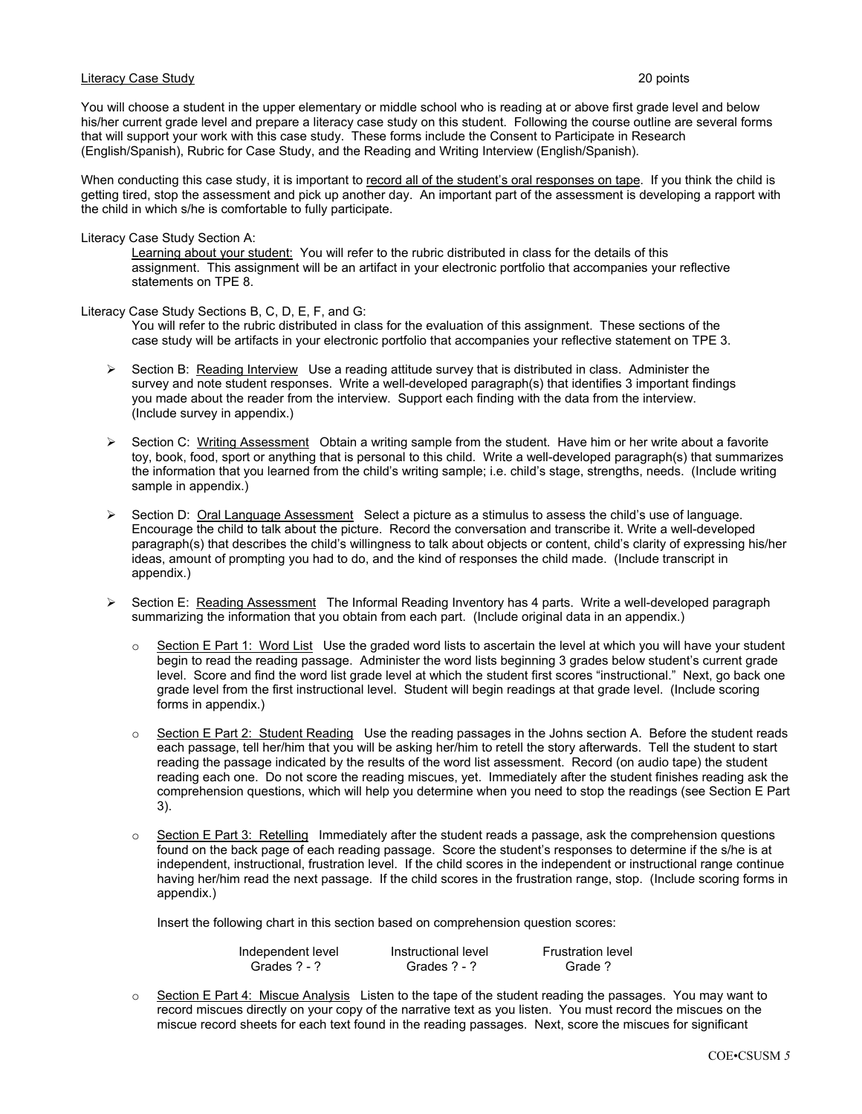#### Literacy Case Study 20 points

You will choose a student in the upper elementary or middle school who is reading at or above first grade level and below his/her current grade level and prepare a literacy case study on this student. Following the course outline are several forms that will support your work with this case study. These forms include the Consent to Participate in Research (English/Spanish), Rubric for Case Study, and the Reading and Writing Interview (English/Spanish).

When conducting this case study, it is important to record all of the student's oral responses on tape. If you think the child is getting tired, stop the assessment and pick up another day. An important part of the assessment is developing a rapport with the child in which s/he is comfortable to fully participate.

#### Literacy Case Study Section A:

Learning about your student: You will refer to the rubric distributed in class for the details of this assignment. This assignment will be an artifact in your electronic portfolio that accompanies your reflective statements on TPE 8.

Literacy Case Study Sections B, C, D, E, F, and G:

You will refer to the rubric distributed in class for the evaluation of this assignment. These sections of the case study will be artifacts in your electronic portfolio that accompanies your reflective statement on TPE 3.

- $\triangleright$  Section B: Reading Interview Use a reading attitude survey that is distributed in class. Administer the survey and note student responses. Write a well-developed paragraph(s) that identifies 3 important findings you made about the reader from the interview. Support each finding with the data from the interview. (Include survey in appendix.)
- $\triangleright$  Section C: Writing Assessment Obtain a writing sample from the student. Have him or her write about a favorite toy, book, food, sport or anything that is personal to this child. Write a well-developed paragraph(s) that summarizes the information that you learned from the child's writing sample; i.e. child's stage, strengths, needs. (Include writing sample in appendix.)
- ¾ Section D: Oral Language Assessment Select a picture as a stimulus to assess the child's use of language. Encourage the child to talk about the picture. Record the conversation and transcribe it. Write a well-developed paragraph(s) that describes the child's willingness to talk about objects or content, child's clarity of expressing his/her ideas, amount of prompting you had to do, and the kind of responses the child made. (Include transcript in appendix.)
- ¾ Section E: Reading Assessment The Informal Reading Inventory has 4 parts. Write a well-developed paragraph summarizing the information that you obtain from each part. (Include original data in an appendix.)
	- $\circ$  Section E Part 1: Word List Use the graded word lists to ascertain the level at which you will have your student begin to read the reading passage. Administer the word lists beginning 3 grades below student's current grade level. Score and find the word list grade level at which the student first scores "instructional." Next, go back one grade level from the first instructional level. Student will begin readings at that grade level. (Include scoring forms in appendix.)
	- Section E Part 2: Student Reading Use the reading passages in the Johns section A. Before the student reads each passage, tell her/him that you will be asking her/him to retell the story afterwards. Tell the student to start reading the passage indicated by the results of the word list assessment. Record (on audio tape) the student reading each one. Do not score the reading miscues, yet. Immediately after the student finishes reading ask the comprehension questions, which will help you determine when you need to stop the readings (see Section E Part 3).
	- $\circ$  Section E Part 3: Retelling Immediately after the student reads a passage, ask the comprehension questions found on the back page of each reading passage. Score the student's responses to determine if the s/he is at independent, instructional, frustration level. If the child scores in the independent or instructional range continue having her/him read the next passage. If the child scores in the frustration range, stop. (Include scoring forms in appendix.)

Insert the following chart in this section based on comprehension question scores:

| Independent level | Instructional level | <b>Frustration level</b> |
|-------------------|---------------------|--------------------------|
| Grades ? - ?      | Grades ? - ?        | Grade ?                  |

 $\circ$  Section E Part 4: Miscue Analysis Listen to the tape of the student reading the passages. You may want to record miscues directly on your copy of the narrative text as you listen. You must record the miscues on the miscue record sheets for each text found in the reading passages. Next, score the miscues for significant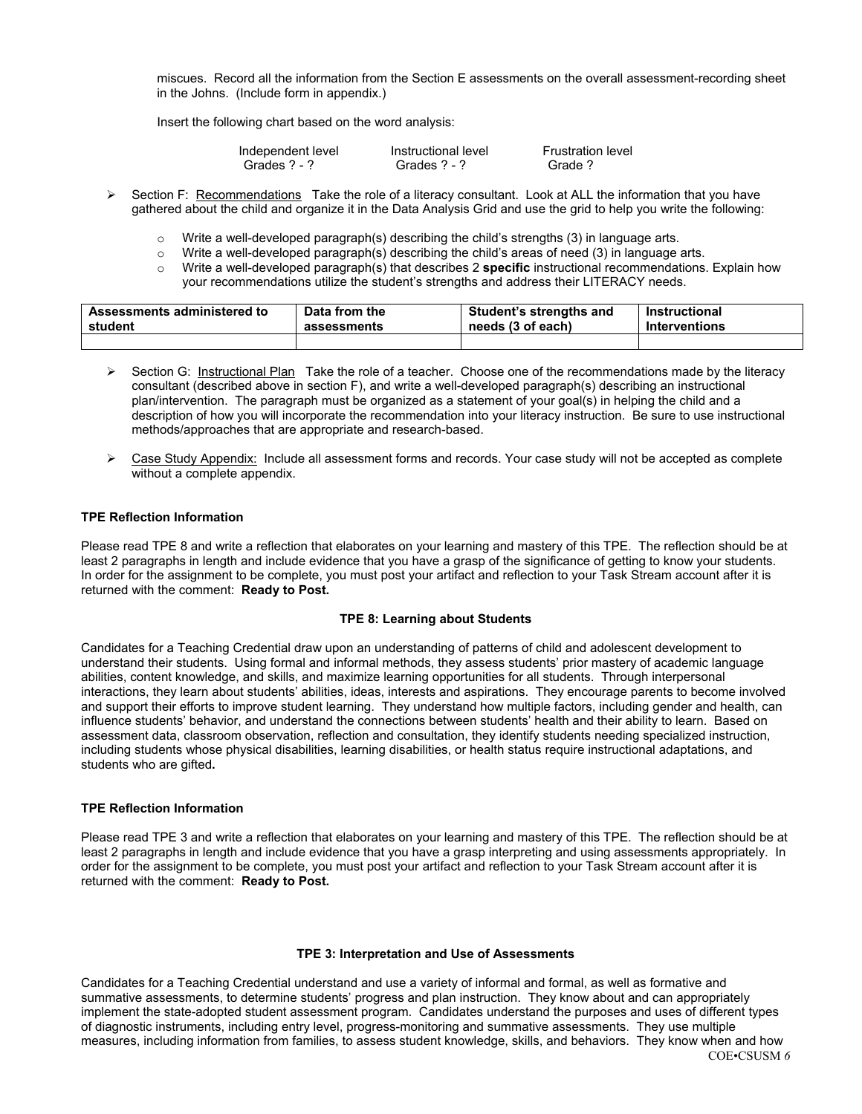miscues. Record all the information from the Section E assessments on the overall assessment-recording sheet in the Johns. (Include form in appendix.)

Insert the following chart based on the word analysis:

| Independent level | Instructional level | <b>Frustration level</b> |
|-------------------|---------------------|--------------------------|
| Grades ? - ?      | Grades ? - ?        | Grade?                   |

- $\triangleright$  Section F: Recommendations Take the role of a literacy consultant. Look at ALL the information that you have gathered about the child and organize it in the Data Analysis Grid and use the grid to help you write the following:
	- $\circ$  Write a well-developed paragraph(s) describing the child's strengths (3) in language arts.
	- $\circ$  Write a well-developed paragraph(s) describing the child's areas of need (3) in language arts.
	- o Write a well-developed paragraph(s) that describes 2 **specific** instructional recommendations. Explain how your recommendations utilize the student's strengths and address their LITERACY needs.

| Assessments administered to | Data from the | <b>Student's strengths and</b> | Instructional        |
|-----------------------------|---------------|--------------------------------|----------------------|
| student                     | assessments   | needs (3 of each)              | <b>Interventions</b> |
|                             |               |                                |                      |

- ¾ Section G: Instructional Plan Take the role of a teacher. Choose one of the recommendations made by the literacy consultant (described above in section F), and write a well-developed paragraph(s) describing an instructional plan/intervention. The paragraph must be organized as a statement of your goal(s) in helping the child and a description of how you will incorporate the recommendation into your literacy instruction. Be sure to use instructional methods/approaches that are appropriate and research-based.
- $\triangleright$  Case Study Appendix: Include all assessment forms and records. Your case study will not be accepted as complete without a complete appendix.

#### **TPE Reflection Information**

Please read TPE 8 and write a reflection that elaborates on your learning and mastery of this TPE. The reflection should be at least 2 paragraphs in length and include evidence that you have a grasp of the significance of getting to know your students. In order for the assignment to be complete, you must post your artifact and reflection to your Task Stream account after it is returned with the comment: **Ready to Post.**

#### **TPE 8: Learning about Students**

Candidates for a Teaching Credential draw upon an understanding of patterns of child and adolescent development to understand their students. Using formal and informal methods, they assess students' prior mastery of academic language abilities, content knowledge, and skills, and maximize learning opportunities for all students. Through interpersonal interactions, they learn about students' abilities, ideas, interests and aspirations. They encourage parents to become involved and support their efforts to improve student learning. They understand how multiple factors, including gender and health, can influence students' behavior, and understand the connections between students' health and their ability to learn. Based on assessment data, classroom observation, reflection and consultation, they identify students needing specialized instruction, including students whose physical disabilities, learning disabilities, or health status require instructional adaptations, and students who are gifted**.** 

#### **TPE Reflection Information**

Please read TPE 3 and write a reflection that elaborates on your learning and mastery of this TPE. The reflection should be at least 2 paragraphs in length and include evidence that you have a grasp interpreting and using assessments appropriately. In order for the assignment to be complete, you must post your artifact and reflection to your Task Stream account after it is returned with the comment: **Ready to Post.**

#### **TPE 3: Interpretation and Use of Assessments**

COE•CSUSM *6*  Candidates for a Teaching Credential understand and use a variety of informal and formal, as well as formative and summative assessments, to determine students' progress and plan instruction. They know about and can appropriately implement the state-adopted student assessment program. Candidates understand the purposes and uses of different types of diagnostic instruments, including entry level, progress-monitoring and summative assessments. They use multiple measures, including information from families, to assess student knowledge, skills, and behaviors. They know when and how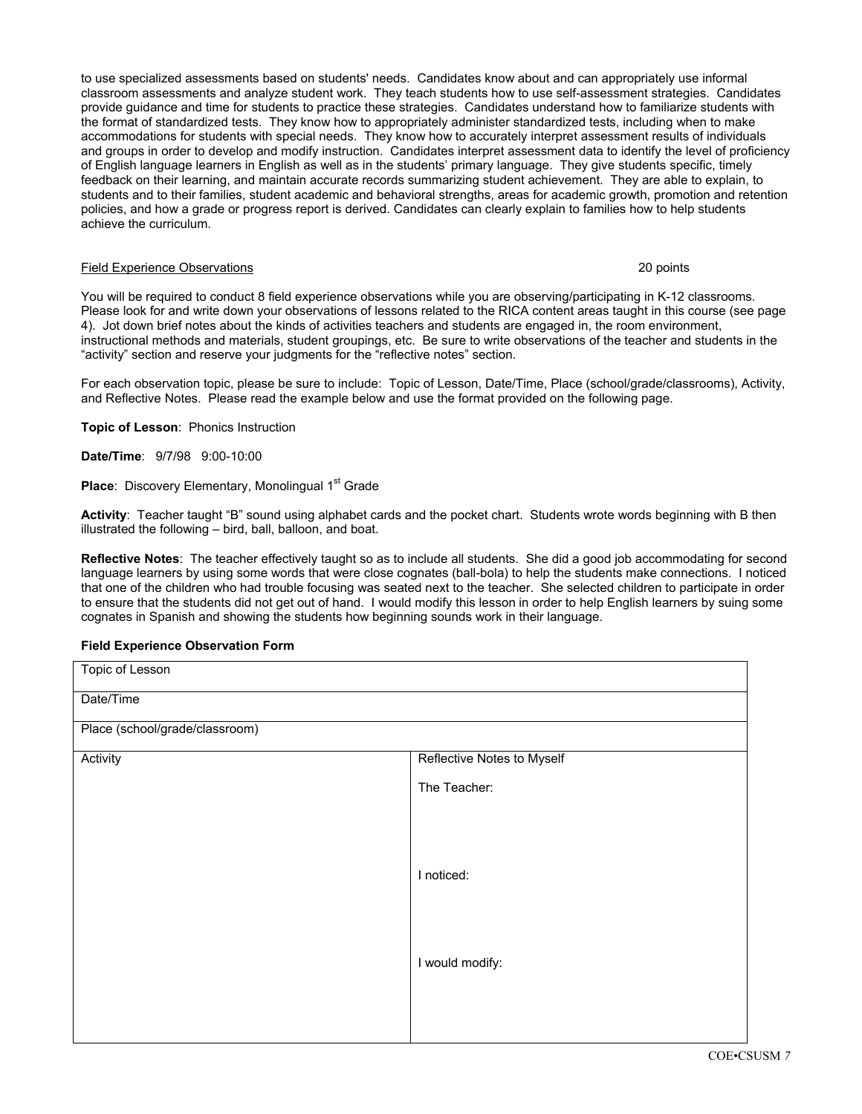to use specialized assessments based on students' needs. Candidates know about and can appropriately use informal classroom assessments and analyze student work. They teach students how to use self-assessment strategies. Candidates provide guidance and time for students to practice these strategies. Candidates understand how to familiarize students with the format of standardized tests. They know how to appropriately administer standardized tests, including when to make accommodations for students with special needs. They know how to accurately interpret assessment results of individuals and groups in order to develop and modify instruction. Candidates interpret assessment data to identify the level of proficiency of English language learners in English as well as in the students' primary language. They give students specific, timely feedback on their learning, and maintain accurate records summarizing student achievement. They are able to explain, to students and to their families, student academic and behavioral strengths, areas for academic growth, promotion and retention policies, and how a grade or progress report is derived. Candidates can clearly explain to families how to help students achieve the curriculum.

#### Field Experience Observations 20 points

You will be required to conduct 8 field experience observations while you are observing/participating in K-12 classrooms. Please look for and write down your observations of lessons related to the RICA content areas taught in this course (see page 4). Jot down brief notes about the kinds of activities teachers and students are engaged in, the room environment, instructional methods and materials, student groupings, etc. Be sure to write observations of the teacher and students in the "activity" section and reserve your judgments for the "reflective notes" section.

For each observation topic, please be sure to include: Topic of Lesson, Date/Time, Place (school/grade/classrooms), Activity, and Reflective Notes. Please read the example below and use the format provided on the following page.

**Topic of Lesson**: Phonics Instruction

**Date/Time**: 9/7/98 9:00-10:00

**Place:** Discovery Elementary, Monolingual 1<sup>st</sup> Grade

**Activity**: Teacher taught "B" sound using alphabet cards and the pocket chart. Students wrote words beginning with B then illustrated the following – bird, ball, balloon, and boat.

**Reflective Notes**: The teacher effectively taught so as to include all students. She did a good job accommodating for second language learners by using some words that were close cognates (ball-bola) to help the students make connections. I noticed that one of the children who had trouble focusing was seated next to the teacher. She selected children to participate in order to ensure that the students did not get out of hand. I would modify this lesson in order to help English learners by suing some cognates in Spanish and showing the students how beginning sounds work in their language.

#### **Field Experience Observation Form**

| <b>Topic of Lesson</b>         |                            |  |  |
|--------------------------------|----------------------------|--|--|
| Date/Time                      |                            |  |  |
| Place (school/grade/classroom) |                            |  |  |
| Activity                       | Reflective Notes to Myself |  |  |
|                                | The Teacher:               |  |  |
|                                |                            |  |  |
|                                |                            |  |  |
|                                | I noticed:                 |  |  |
|                                |                            |  |  |
|                                |                            |  |  |
|                                | I would modify:            |  |  |
|                                |                            |  |  |
|                                |                            |  |  |
|                                |                            |  |  |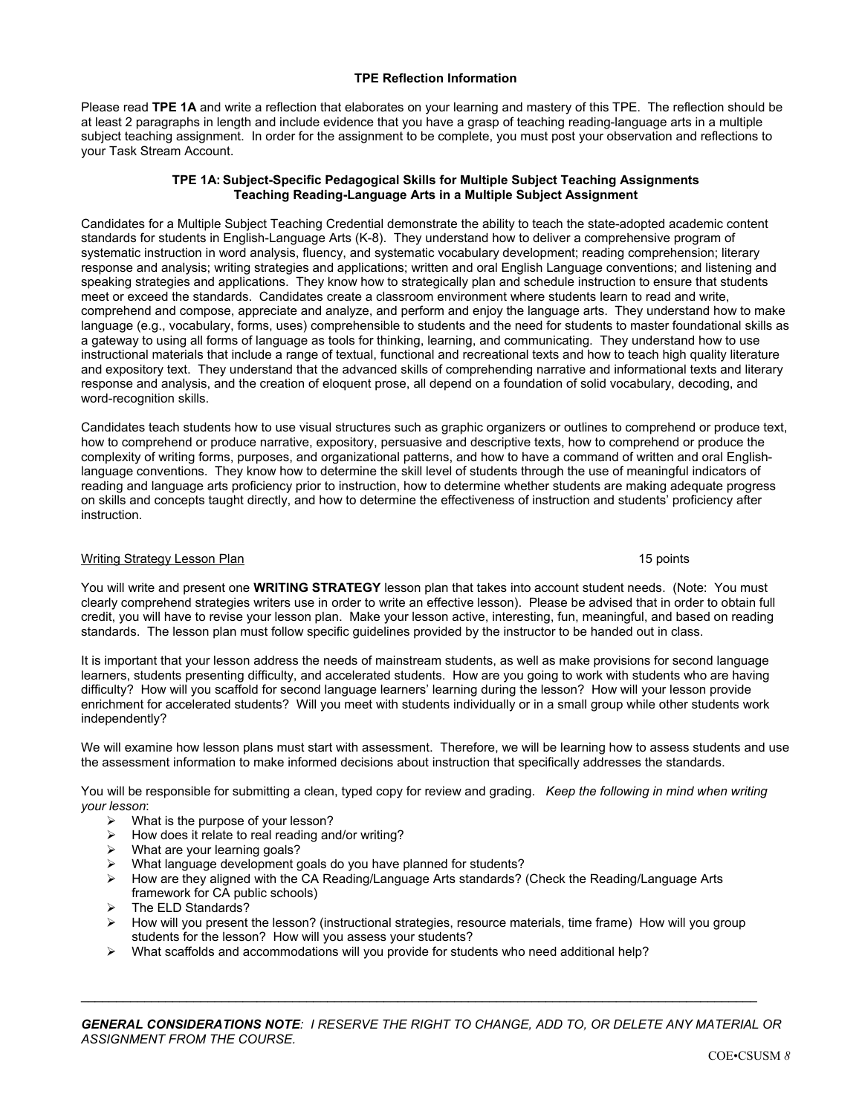### **TPE Reflection Information**

Please read **TPE 1A** and write a reflection that elaborates on your learning and mastery of this TPE. The reflection should be at least 2 paragraphs in length and include evidence that you have a grasp of teaching reading-language arts in a multiple subject teaching assignment. In order for the assignment to be complete, you must post your observation and reflections to your Task Stream Account.

#### **TPE 1A: Subject-Specific Pedagogical Skills for Multiple Subject Teaching Assignments Teaching Reading-Language Arts in a Multiple Subject Assignment**

Candidates for a Multiple Subject Teaching Credential demonstrate the ability to teach the state-adopted academic content standards for students in English-Language Arts (K-8). They understand how to deliver a comprehensive program of systematic instruction in word analysis, fluency, and systematic vocabulary development; reading comprehension; literary response and analysis; writing strategies and applications; written and oral English Language conventions; and listening and speaking strategies and applications. They know how to strategically plan and schedule instruction to ensure that students meet or exceed the standards. Candidates create a classroom environment where students learn to read and write, comprehend and compose, appreciate and analyze, and perform and enjoy the language arts. They understand how to make language (e.g., vocabulary, forms, uses) comprehensible to students and the need for students to master foundational skills as a gateway to using all forms of language as tools for thinking, learning, and communicating. They understand how to use instructional materials that include a range of textual, functional and recreational texts and how to teach high quality literature and expository text. They understand that the advanced skills of comprehending narrative and informational texts and literary response and analysis, and the creation of eloquent prose, all depend on a foundation of solid vocabulary, decoding, and word-recognition skills.

Candidates teach students how to use visual structures such as graphic organizers or outlines to comprehend or produce text, how to comprehend or produce narrative, expository, persuasive and descriptive texts, how to comprehend or produce the complexity of writing forms, purposes, and organizational patterns, and how to have a command of written and oral Englishlanguage conventions. They know how to determine the skill level of students through the use of meaningful indicators of reading and language arts proficiency prior to instruction, how to determine whether students are making adequate progress on skills and concepts taught directly, and how to determine the effectiveness of instruction and students' proficiency after instruction.

#### Writing Strategy Lesson Plan 15 points and the strategy Lesson Plan 15 points and the strategy Lesson Plan 15 points and the strategy Lesson Plan 15 points and the strategy Lesson Plan 15 points and the strategy Lesson Pla

You will write and present one **WRITING STRATEGY** lesson plan that takes into account student needs. (Note: You must clearly comprehend strategies writers use in order to write an effective lesson). Please be advised that in order to obtain full credit, you will have to revise your lesson plan. Make your lesson active, interesting, fun, meaningful, and based on reading standards. The lesson plan must follow specific guidelines provided by the instructor to be handed out in class.

It is important that your lesson address the needs of mainstream students, as well as make provisions for second language learners, students presenting difficulty, and accelerated students. How are you going to work with students who are having difficulty? How will you scaffold for second language learners' learning during the lesson? How will your lesson provide enrichment for accelerated students? Will you meet with students individually or in a small group while other students work independently?

We will examine how lesson plans must start with assessment. Therefore, we will be learning how to assess students and use the assessment information to make informed decisions about instruction that specifically addresses the standards.

You will be responsible for submitting a clean, typed copy for review and grading. *Keep the following in mind when writing your lesson*:

- $\triangleright$  What is the purpose of your lesson?
- $\triangleright$  How does it relate to real reading and/or writing?
- $\triangleright$  What are your learning goals?
- ¾ What language development goals do you have planned for students?
- ¾ How are they aligned with the CA Reading/Language Arts standards? (Check the Reading/Language Arts framework for CA public schools)
- > The ELD Standards?
- $\triangleright$  How will you present the lesson? (instructional strategies, resource materials, time frame) How will you group students for the lesson? How will you assess your students?
- $\triangleright$  What scaffolds and accommodations will you provide for students who need additional help?

\_\_\_\_\_\_\_\_\_\_\_\_\_\_\_\_\_\_\_\_\_\_\_\_\_\_\_\_\_\_\_\_\_\_\_\_\_\_\_\_\_\_\_\_\_\_\_\_\_\_\_\_\_\_\_\_\_\_\_\_\_\_\_\_\_\_\_\_\_\_\_\_\_\_\_\_\_\_\_\_\_\_\_\_\_\_\_\_\_\_\_\_\_\_\_\_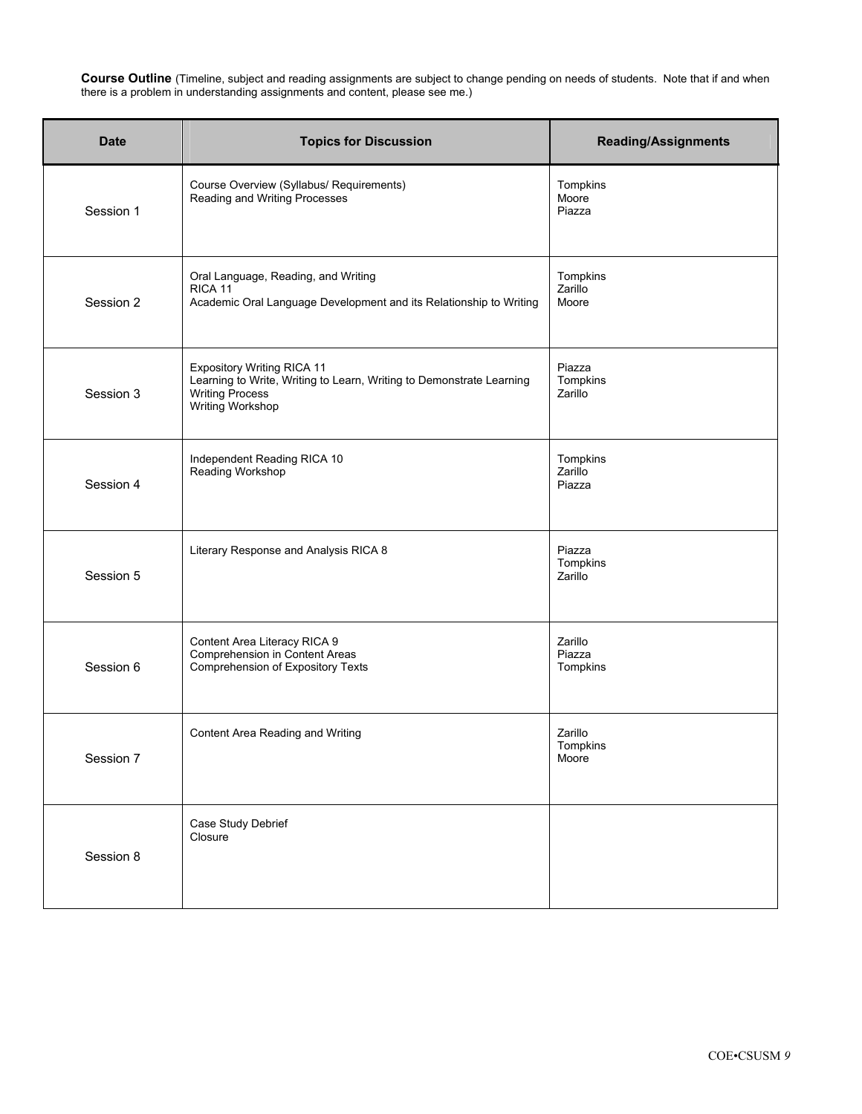**Course Outline** (Timeline, subject and reading assignments are subject to change pending on needs of students. Note that if and when there is a problem in understanding assignments and content, please see me.)

| <b>Date</b> | <b>Topics for Discussion</b>                                                                                                                     | <b>Reading/Assignments</b>    |
|-------------|--------------------------------------------------------------------------------------------------------------------------------------------------|-------------------------------|
| Session 1   | Course Overview (Syllabus/ Requirements)<br>Reading and Writing Processes                                                                        | Tompkins<br>Moore<br>Piazza   |
| Session 2   | Oral Language, Reading, and Writing<br>RICA 11<br>Academic Oral Language Development and its Relationship to Writing                             | Tompkins<br>Zarillo<br>Moore  |
| Session 3   | Expository Writing RICA 11<br>Learning to Write, Writing to Learn, Writing to Demonstrate Learning<br><b>Writing Process</b><br>Writing Workshop | Piazza<br>Tompkins<br>Zarillo |
| Session 4   | Independent Reading RICA 10<br>Reading Workshop                                                                                                  | Tompkins<br>Zarillo<br>Piazza |
| Session 5   | Literary Response and Analysis RICA 8                                                                                                            | Piazza<br>Tompkins<br>Zarillo |
| Session 6   | Content Area Literacy RICA 9<br>Comprehension in Content Areas<br>Comprehension of Expository Texts                                              | Zarillo<br>Piazza<br>Tompkins |
| Session 7   | Content Area Reading and Writing                                                                                                                 | Zarillo<br>Tompkins<br>Moore  |
| Session 8   | Case Study Debrief<br>Closure                                                                                                                    |                               |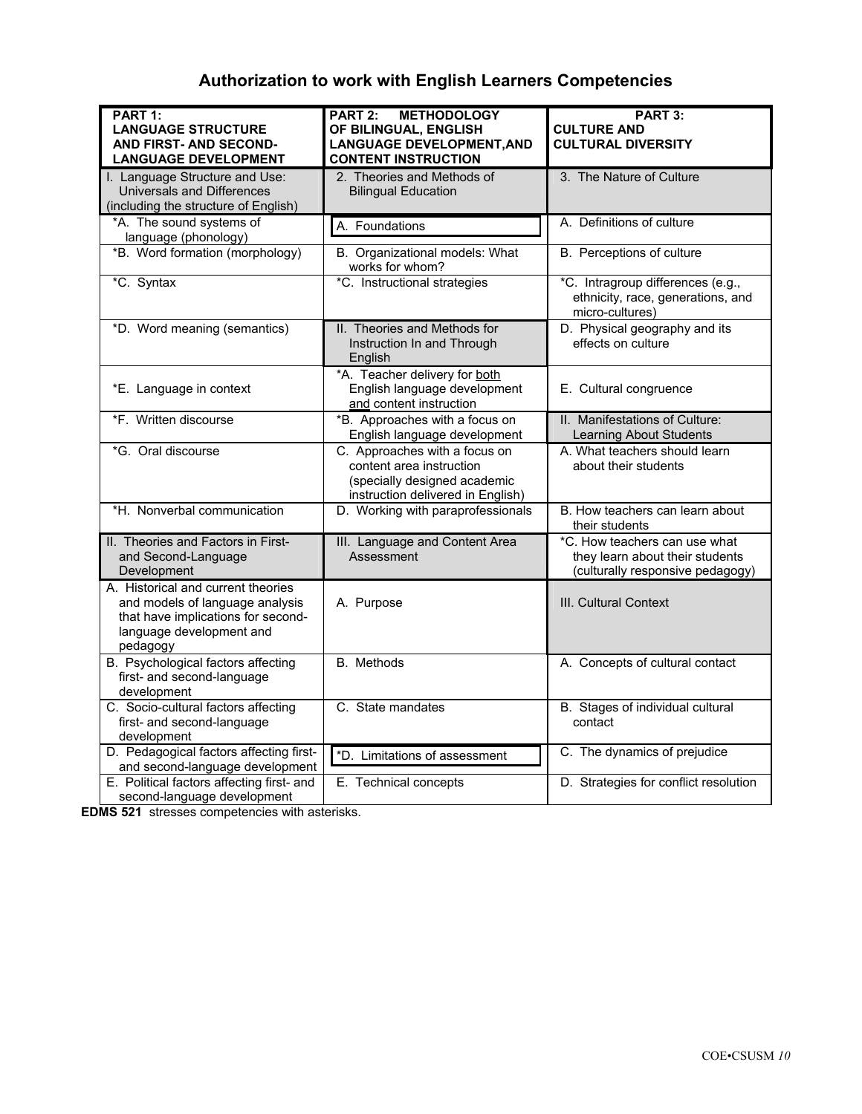# **Authorization to work with English Learners Competencies**

| PART 1:                                                                                                                                             | PART 2:<br><b>METHODOLOGY</b>                                                                                                  | PART 3:                                                                                              |
|-----------------------------------------------------------------------------------------------------------------------------------------------------|--------------------------------------------------------------------------------------------------------------------------------|------------------------------------------------------------------------------------------------------|
| <b>LANGUAGE STRUCTURE</b>                                                                                                                           | OF BILINGUAL, ENGLISH                                                                                                          | <b>CULTURE AND</b>                                                                                   |
| <b>AND FIRST- AND SECOND-</b>                                                                                                                       | <b>LANGUAGE DEVELOPMENT, AND</b>                                                                                               | <b>CULTURAL DIVERSITY</b>                                                                            |
| <b>LANGUAGE DEVELOPMENT</b>                                                                                                                         | <b>CONTENT INSTRUCTION</b>                                                                                                     |                                                                                                      |
| I. Language Structure and Use:                                                                                                                      | 2. Theories and Methods of                                                                                                     | 3. The Nature of Culture                                                                             |
| Universals and Differences                                                                                                                          | <b>Bilingual Education</b>                                                                                                     |                                                                                                      |
| (including the structure of English)                                                                                                                |                                                                                                                                |                                                                                                      |
| *A. The sound systems of                                                                                                                            | A. Foundations                                                                                                                 | A. Definitions of culture                                                                            |
| language (phonology)                                                                                                                                |                                                                                                                                |                                                                                                      |
| *B. Word formation (morphology)                                                                                                                     | B. Organizational models: What<br>works for whom?                                                                              | B. Perceptions of culture                                                                            |
| *C. Syntax                                                                                                                                          | *C. Instructional strategies                                                                                                   | *C. Intragroup differences (e.g.,<br>ethnicity, race, generations, and<br>micro-cultures)            |
| *D. Word meaning (semantics)                                                                                                                        | II. Theories and Methods for<br>Instruction In and Through<br>English                                                          | D. Physical geography and its<br>effects on culture                                                  |
| *E. Language in context                                                                                                                             | *A. Teacher delivery for both<br>English language development<br>and content instruction                                       | E. Cultural congruence                                                                               |
| *F. Written discourse                                                                                                                               | *B. Approaches with a focus on<br>English language development                                                                 | II. Manifestations of Culture:<br><b>Learning About Students</b>                                     |
| *G. Oral discourse                                                                                                                                  | C. Approaches with a focus on<br>content area instruction<br>(specially designed academic<br>instruction delivered in English) | A. What teachers should learn<br>about their students                                                |
| *H. Nonverbal communication                                                                                                                         | D. Working with paraprofessionals                                                                                              | B. How teachers can learn about<br>their students                                                    |
| II. Theories and Factors in First-<br>and Second-Language<br>Development                                                                            | III. Language and Content Area<br>Assessment                                                                                   | *C. How teachers can use what<br>they learn about their students<br>(culturally responsive pedagogy) |
| A. Historical and current theories<br>and models of language analysis<br>that have implications for second-<br>language development and<br>pedagogy | A. Purpose                                                                                                                     | III. Cultural Context                                                                                |
| B. Psychological factors affecting<br>first- and second-language<br>development                                                                     | <b>B.</b> Methods                                                                                                              | A. Concepts of cultural contact                                                                      |
| C. Socio-cultural factors affecting<br>first- and second-language<br>development                                                                    | C. State mandates                                                                                                              | B. Stages of individual cultural<br>contact                                                          |
| D. Pedagogical factors affecting first-<br>and second-language development                                                                          | *D. Limitations of assessment                                                                                                  | C. The dynamics of prejudice                                                                         |
| E. Political factors affecting first- and<br>second-language development                                                                            | E. Technical concepts                                                                                                          | D. Strategies for conflict resolution                                                                |

**EDMS 521** stresses competencies with asterisks.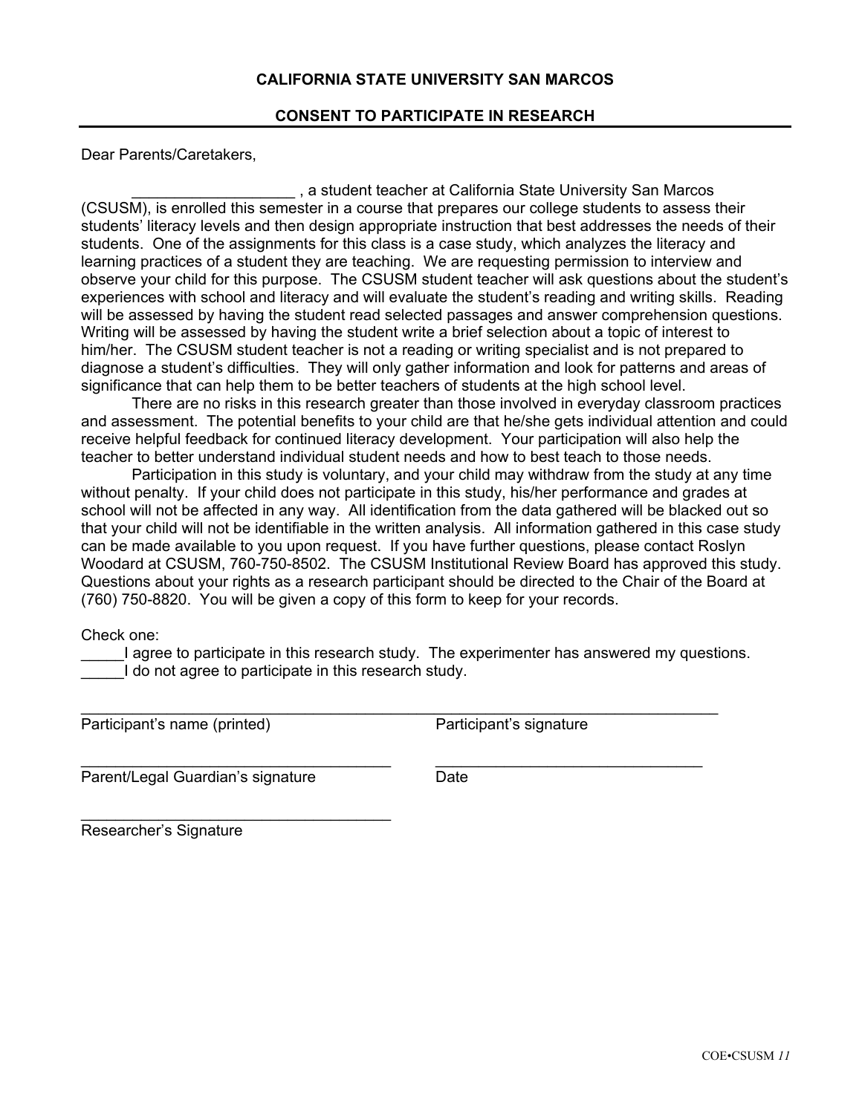## **CALIFORNIA STATE UNIVERSITY SAN MARCOS**

## **CONSENT TO PARTICIPATE IN RESEARCH**

Dear Parents/Caretakers,

\_\_\_\_\_\_\_\_\_\_\_\_\_\_\_\_\_\_\_ , a student teacher at California State University San Marcos (CSUSM), is enrolled this semester in a course that prepares our college students to assess their students' literacy levels and then design appropriate instruction that best addresses the needs of their students. One of the assignments for this class is a case study, which analyzes the literacy and learning practices of a student they are teaching. We are requesting permission to interview and observe your child for this purpose. The CSUSM student teacher will ask questions about the student's experiences with school and literacy and will evaluate the student's reading and writing skills. Reading will be assessed by having the student read selected passages and answer comprehension questions. Writing will be assessed by having the student write a brief selection about a topic of interest to him/her. The CSUSM student teacher is not a reading or writing specialist and is not prepared to diagnose a student's difficulties. They will only gather information and look for patterns and areas of significance that can help them to be better teachers of students at the high school level.

There are no risks in this research greater than those involved in everyday classroom practices and assessment. The potential benefits to your child are that he/she gets individual attention and could receive helpful feedback for continued literacy development. Your participation will also help the teacher to better understand individual student needs and how to best teach to those needs.

Participation in this study is voluntary, and your child may withdraw from the study at any time without penalty. If your child does not participate in this study, his/her performance and grades at school will not be affected in any way. All identification from the data gathered will be blacked out so that your child will not be identifiable in the written analysis. All information gathered in this case study can be made available to you upon request. If you have further questions, please contact Roslyn Woodard at CSUSM, 760-750-8502. The CSUSM Institutional Review Board has approved this study. Questions about your rights as a research participant should be directed to the Chair of the Board at (760) 750-8820. You will be given a copy of this form to keep for your records.

Check one:

\_\_\_\_\_I agree to participate in this research study. The experimenter has answered my questions. I do not agree to participate in this research study.

\_\_\_\_\_\_\_\_\_\_\_\_\_\_\_\_\_\_\_\_\_\_\_\_\_\_\_\_\_\_\_\_\_\_\_\_\_\_\_\_\_\_\_\_\_\_\_\_\_\_\_\_\_\_\_\_\_\_\_\_\_\_\_\_\_\_\_\_\_\_\_\_\_\_

 $\_$  , and the set of the set of the set of the set of the set of the set of the set of the set of the set of the set of the set of the set of the set of the set of the set of the set of the set of the set of the set of th

Participant's name (printed) Participant's signature

Parent/Legal Guardian's signature **Date** 

\_\_\_\_\_\_\_\_\_\_\_\_\_\_\_\_\_\_\_\_\_\_\_\_\_\_\_\_\_\_\_\_\_\_\_\_

Researcher's Signature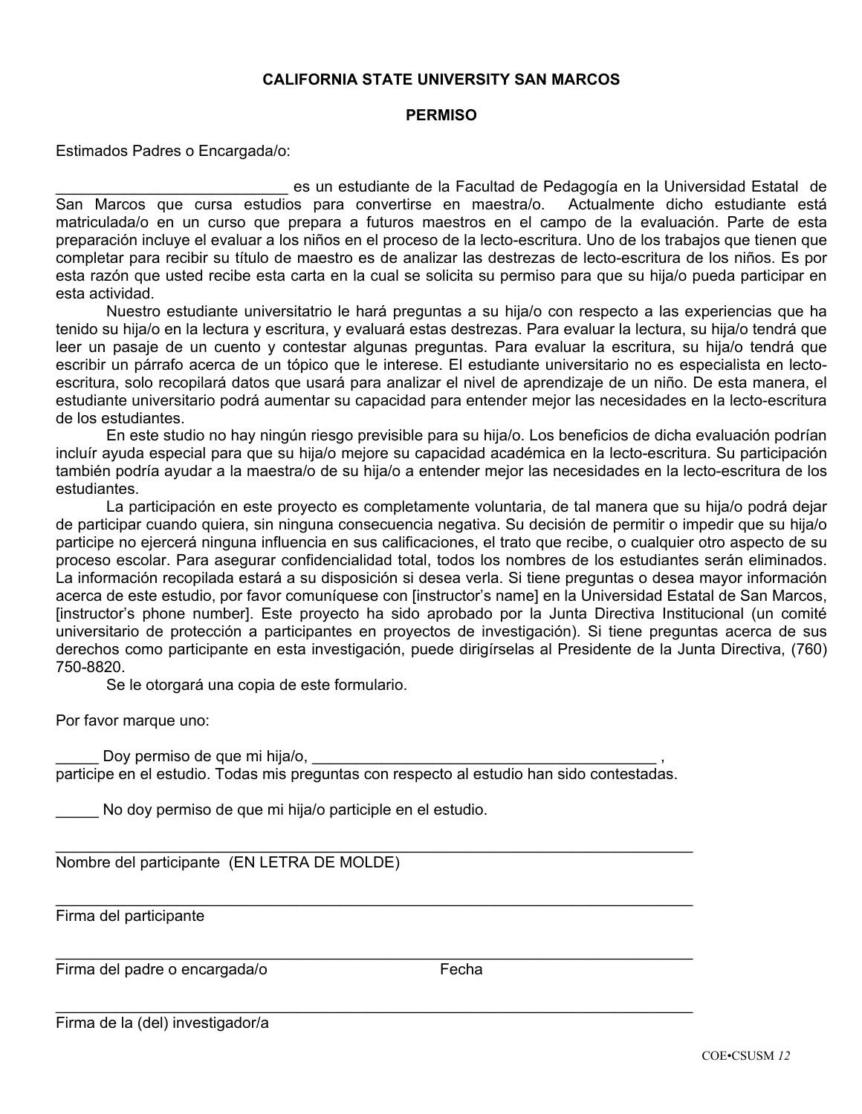## **CALIFORNIA STATE UNIVERSITY SAN MARCOS**

## **PERMISO**

Estimados Padres o Encargada/o:

\_\_\_\_\_\_\_\_\_\_\_\_\_\_\_\_\_\_\_\_\_\_\_\_\_\_\_ es un estudiante de la Facultad de Pedagogía en la Universidad Estatal de San Marcos que cursa estudios para convertirse en maestra/o. Actualmente dicho estudiante está matriculada/o en un curso que prepara a futuros maestros en el campo de la evaluación. Parte de esta preparación incluye el evaluar a los niños en el proceso de la lecto-escritura. Uno de los trabajos que tienen que completar para recibir su título de maestro es de analizar las destrezas de lecto-escritura de los niños. Es por esta razón que usted recibe esta carta en la cual se solicita su permiso para que su hija/o pueda participar en esta actividad.

Nuestro estudiante universitatrio le hará preguntas a su hija/o con respecto a las experiencias que ha tenido su hija/o en la lectura y escritura, y evaluará estas destrezas. Para evaluar la lectura, su hija/o tendrá que leer un pasaje de un cuento y contestar algunas preguntas. Para evaluar la escritura, su hija/o tendrá que escribir un párrafo acerca de un tópico que le interese. El estudiante universitario no es especialista en lectoescritura, solo recopilará datos que usará para analizar el nivel de aprendizaje de un niño. De esta manera, el estudiante universitario podrá aumentar su capacidad para entender mejor las necesidades en la lecto-escritura de los estudiantes.

En este studio no hay ningún riesgo previsible para su hija/o. Los beneficios de dicha evaluación podrían incluír ayuda especial para que su hija/o mejore su capacidad académica en la lecto-escritura. Su participación también podría ayudar a la maestra/o de su hija/o a entender mejor las necesidades en la lecto-escritura de los estudiantes.

La participación en este proyecto es completamente voluntaria, de tal manera que su hija/o podrá dejar de participar cuando quiera, sin ninguna consecuencia negativa. Su decisión de permitir o impedir que su hija/o participe no ejercerá ninguna influencia en sus calificaciones, el trato que recibe, o cualquier otro aspecto de su proceso escolar. Para asegurar confidencialidad total, todos los nombres de los estudiantes serán eliminados. La información recopilada estará a su disposición si desea verla. Si tiene preguntas o desea mayor información acerca de este estudio, por favor comuníquese con [instructor's name] en la Universidad Estatal de San Marcos, [instructor's phone number]. Este proyecto ha sido aprobado por la Junta Directiva Institucional (un comité universitario de protección a participantes en proyectos de investigación). Si tiene preguntas acerca de sus derechos como participante en esta investigación, puede dirigírselas al Presidente de la Junta Directiva, (760) 750-8820.

Se le otorgará una copia de este formulario.

Por favor marque uno:

Doy permiso de que mi hija/o,

participe en el estudio. Todas mis preguntas con respecto al estudio han sido contestadas.

\_\_\_\_\_\_\_\_\_\_\_\_\_\_\_\_\_\_\_\_\_\_\_\_\_\_\_\_\_\_\_\_\_\_\_\_\_\_\_\_\_\_\_\_\_\_\_\_\_\_\_\_\_\_\_\_\_\_\_\_\_\_\_\_\_\_\_\_\_\_\_\_\_\_

\_\_\_\_\_\_\_\_\_\_\_\_\_\_\_\_\_\_\_\_\_\_\_\_\_\_\_\_\_\_\_\_\_\_\_\_\_\_\_\_\_\_\_\_\_\_\_\_\_\_\_\_\_\_\_\_\_\_\_\_\_\_\_\_\_\_\_\_\_\_\_\_\_\_

\_\_\_\_\_\_\_\_\_\_\_\_\_\_\_\_\_\_\_\_\_\_\_\_\_\_\_\_\_\_\_\_\_\_\_\_\_\_\_\_\_\_\_\_\_\_\_\_\_\_\_\_\_\_\_\_\_\_\_\_\_\_\_\_\_\_\_\_\_\_\_\_\_\_

\_\_\_\_\_\_\_\_\_\_\_\_\_\_\_\_\_\_\_\_\_\_\_\_\_\_\_\_\_\_\_\_\_\_\_\_\_\_\_\_\_\_\_\_\_\_\_\_\_\_\_\_\_\_\_\_\_\_\_\_\_\_\_\_\_\_\_\_\_\_\_\_\_\_

No doy permiso de que mi hija/o participle en el estudio.

Nombre del participante (EN LETRA DE MOLDE)

Firma del participante

Firma del padre o encargada/o Fecha

Firma de la (del) investigador/a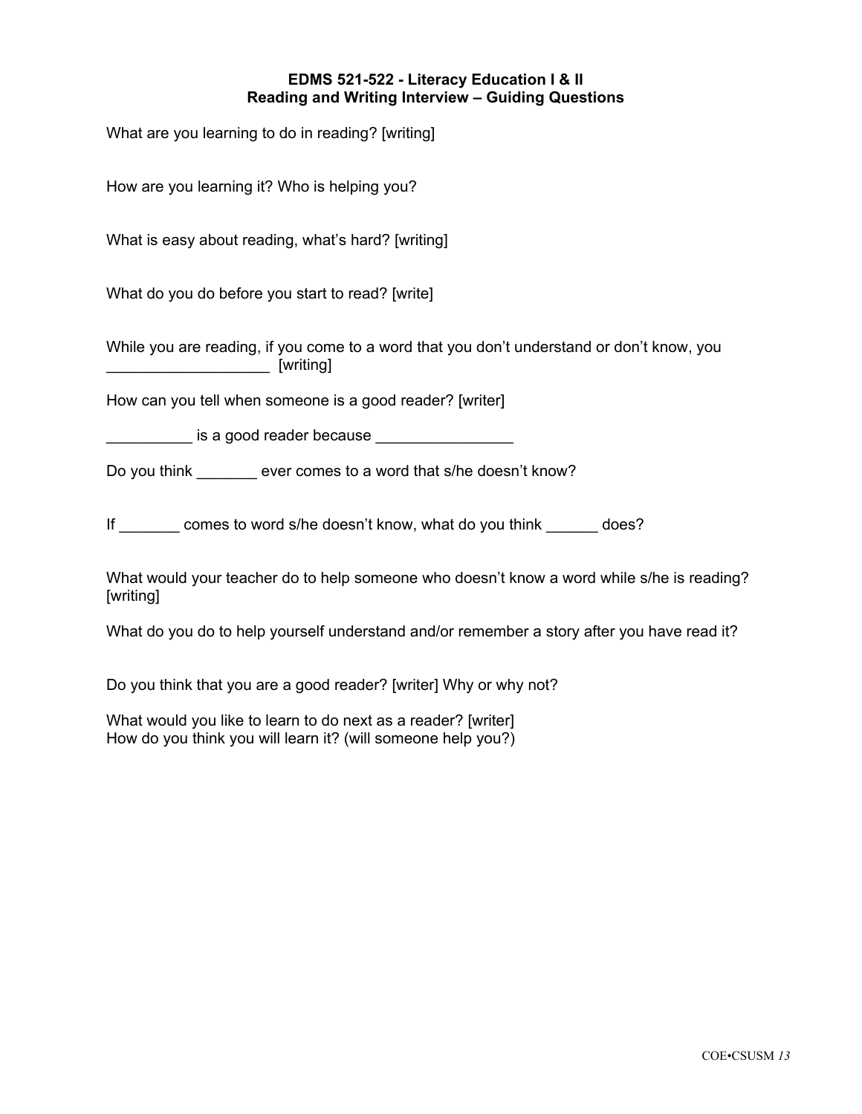## **EDMS 521-522 - Literacy Education I & II Reading and Writing Interview – Guiding Questions**

What are you learning to do in reading? [writing]

How are you learning it? Who is helping you?

What is easy about reading, what's hard? [writing]

What do you do before you start to read? [write]

While you are reading, if you come to a word that you don't understand or don't know, you  $\sim$  [writing]

How can you tell when someone is a good reader? [writer]

is a good reader because

Do you think ever comes to a word that s/he doesn't know?

If comes to word s/he doesn't know, what do you think does?

What would your teacher do to help someone who doesn't know a word while s/he is reading? [writing]

What do you do to help yourself understand and/or remember a story after you have read it?

Do you think that you are a good reader? [writer] Why or why not?

What would you like to learn to do next as a reader? [writer] How do you think you will learn it? (will someone help you?)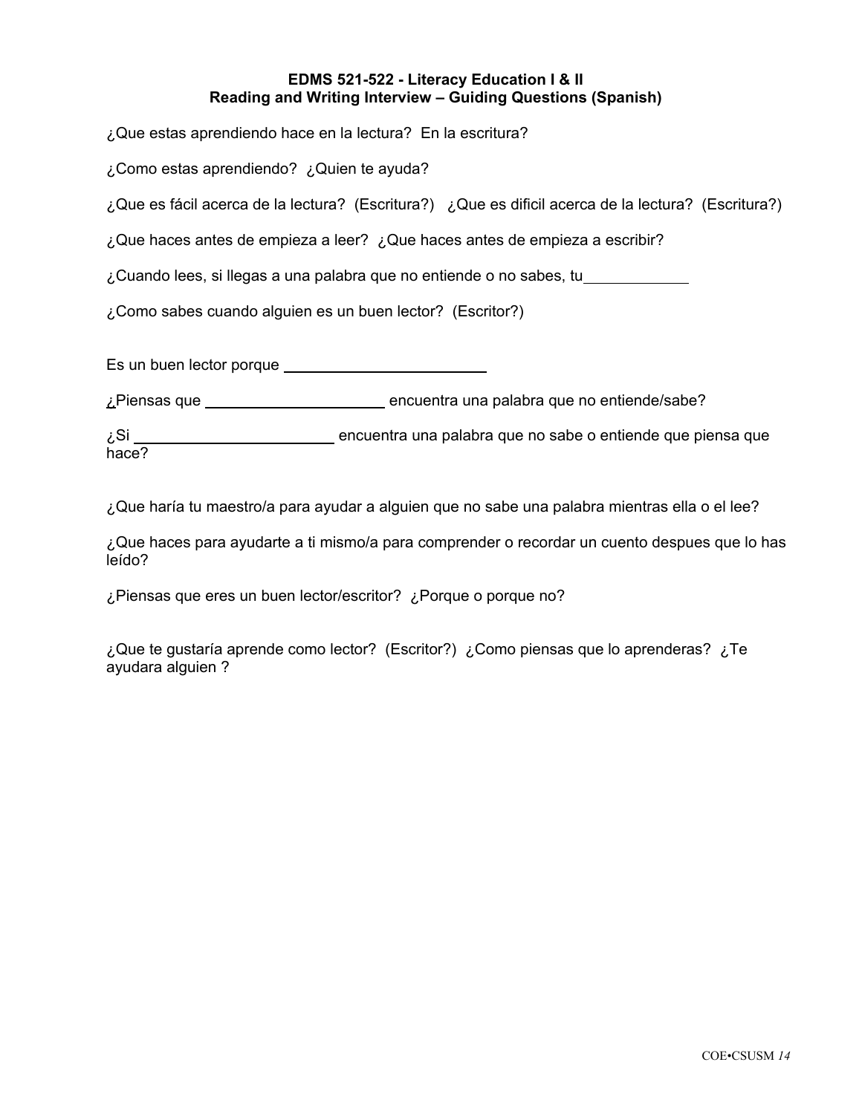## **EDMS 521-522 - Literacy Education I & II Reading and Writing Interview – Guiding Questions (Spanish)**

¿Que estas aprendiendo hace en la lectura? En la escritura?

¿Como estas aprendiendo? ¿Quien te ayuda?

¿Que es fácil acerca de la lectura? (Escritura?) ¿Que es dificil acerca de la lectura? (Escritura?)

¿Que haces antes de empieza a leer? ¿Que haces antes de empieza a escribir?

¿Cuando lees, si llegas a una palabra que no entiende o no sabes, tu

¿Como sabes cuando alguien es un buen lector? (Escritor?)

Es un buen lector porque

¿Piensas que \_\_\_\_\_\_\_\_\_\_\_\_\_\_\_\_\_\_\_\_\_\_\_\_\_\_\_\_ encuentra una palabra que no entiende/sabe?

¿Si encuentra una palabra que no sabe o entiende que piensa que hace?

¿Que haría tu maestro/a para ayudar a alguien que no sabe una palabra mientras ella o el lee?

¿Que haces para ayudarte a ti mismo/a para comprender o recordar un cuento despues que lo has leído?

¿Piensas que eres un buen lector/escritor? ¿Porque o porque no?

¿Que te gustaría aprende como lector? (Escritor?) ¿Como piensas que lo aprenderas? ¿Te ayudara alguien ?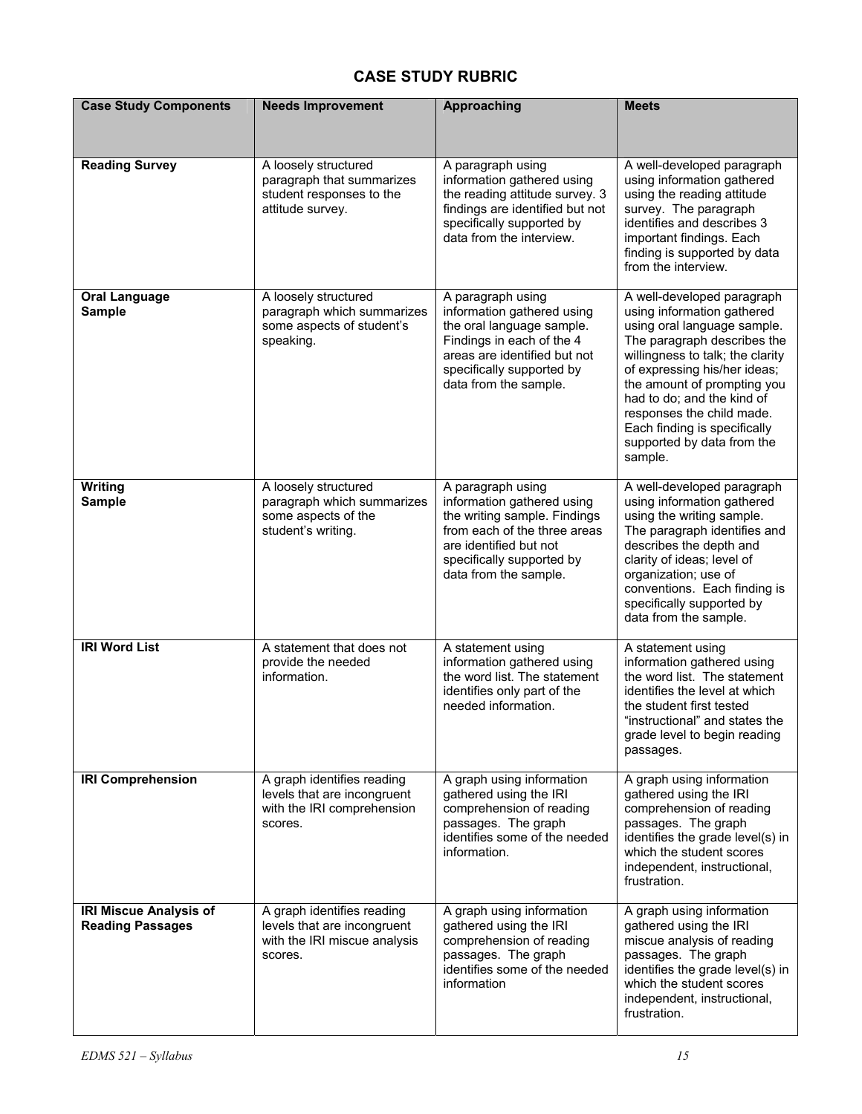# **CASE STUDY RUBRIC**

| <b>Case Study Components</b>                             | <b>Needs Improvement</b>                                                                             | Approaching                                                                                                                                                                                     | <b>Meets</b>                                                                                                                                                                                                                                                                                                                                                  |
|----------------------------------------------------------|------------------------------------------------------------------------------------------------------|-------------------------------------------------------------------------------------------------------------------------------------------------------------------------------------------------|---------------------------------------------------------------------------------------------------------------------------------------------------------------------------------------------------------------------------------------------------------------------------------------------------------------------------------------------------------------|
| <b>Reading Survey</b>                                    | A loosely structured<br>paragraph that summarizes<br>student responses to the<br>attitude survey.    | A paragraph using<br>information gathered using<br>the reading attitude survey. 3<br>findings are identified but not<br>specifically supported by<br>data from the interview.                   | A well-developed paragraph<br>using information gathered<br>using the reading attitude<br>survey. The paragraph<br>identifies and describes 3<br>important findings. Each<br>finding is supported by data<br>from the interview.                                                                                                                              |
| <b>Oral Language</b><br><b>Sample</b>                    | A loosely structured<br>paragraph which summarizes<br>some aspects of student's<br>speaking.         | A paragraph using<br>information gathered using<br>the oral language sample.<br>Findings in each of the 4<br>areas are identified but not<br>specifically supported by<br>data from the sample. | A well-developed paragraph<br>using information gathered<br>using oral language sample.<br>The paragraph describes the<br>willingness to talk; the clarity<br>of expressing his/her ideas;<br>the amount of prompting you<br>had to do; and the kind of<br>responses the child made.<br>Each finding is specifically<br>supported by data from the<br>sample. |
| <b>Writing</b><br><b>Sample</b>                          | A loosely structured<br>paragraph which summarizes<br>some aspects of the<br>student's writing.      | A paragraph using<br>information gathered using<br>the writing sample. Findings<br>from each of the three areas<br>are identified but not<br>specifically supported by<br>data from the sample. | A well-developed paragraph<br>using information gathered<br>using the writing sample.<br>The paragraph identifies and<br>describes the depth and<br>clarity of ideas; level of<br>organization; use of<br>conventions. Each finding is<br>specifically supported by<br>data from the sample.                                                                  |
| <b>IRI Word List</b>                                     | A statement that does not<br>provide the needed<br>information.                                      | A statement using<br>information gathered using<br>the word list. The statement<br>identifies only part of the<br>needed information.                                                           | A statement using<br>information gathered using<br>the word list. The statement<br>identifies the level at which<br>the student first tested<br>"instructional" and states the<br>grade level to begin reading<br>passages.                                                                                                                                   |
| <b>IRI Comprehension</b>                                 | A graph identifies reading<br>levels that are incongruent<br>with the IRI comprehension<br>scores.   | A graph using information<br>gathered using the IRI<br>comprehension of reading<br>passages. The graph<br>identifies some of the needed<br>information.                                         | A graph using information<br>gathered using the IRI<br>comprehension of reading<br>passages. The graph<br>identifies the grade level(s) in<br>which the student scores<br>independent, instructional,<br>frustration.                                                                                                                                         |
| <b>IRI Miscue Analysis of</b><br><b>Reading Passages</b> | A graph identifies reading<br>levels that are incongruent<br>with the IRI miscue analysis<br>scores. | A graph using information<br>gathered using the IRI<br>comprehension of reading<br>passages. The graph<br>identifies some of the needed<br>information                                          | A graph using information<br>gathered using the IRI<br>miscue analysis of reading<br>passages. The graph<br>identifies the grade level(s) in<br>which the student scores<br>independent, instructional,<br>frustration.                                                                                                                                       |